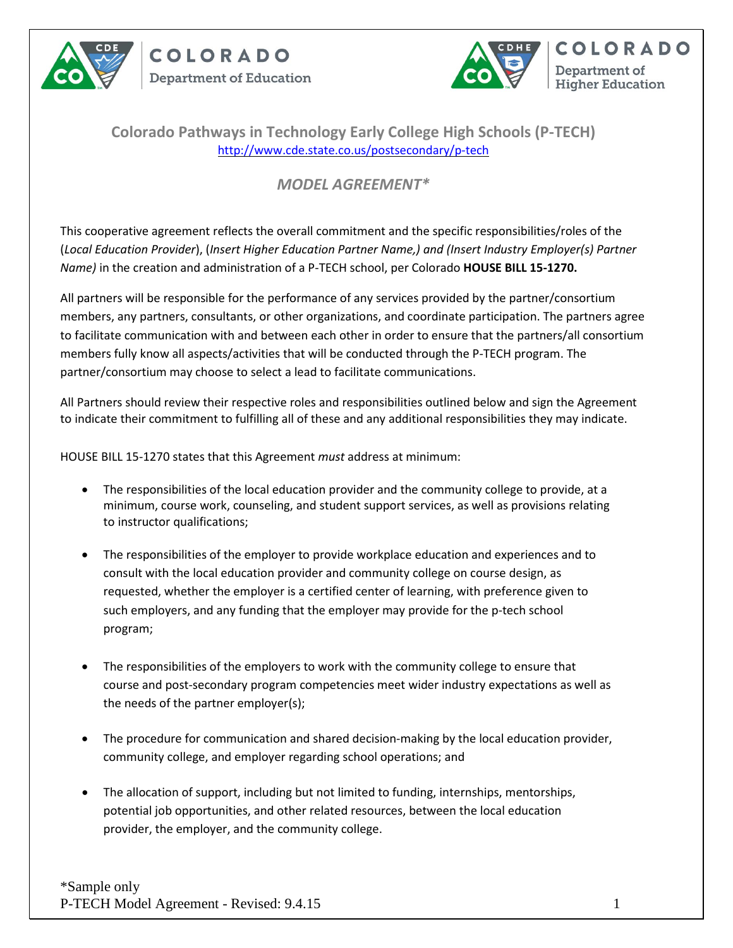

**COLORADO Department of Education** 



## **Colorado Pathways in Technology Early College High Schools (P-TECH)** <http://www.cde.state.co.us/postsecondary/p-tech>

## *MODEL AGREEMENT\**

This cooperative agreement reflects the overall commitment and the specific responsibilities/roles of the (*Local Education Provider*), (*Insert Higher Education Partner Name,) and (Insert Industry Employer(s) Partner Name)* in the creation and administration of a P-TECH school, per Colorado **HOUSE BILL 15-1270.**

All partners will be responsible for the performance of any services provided by the partner/consortium members, any partners, consultants, or other organizations, and coordinate participation. The partners agree to facilitate communication with and between each other in order to ensure that the partners/all consortium members fully know all aspects/activities that will be conducted through the P-TECH program. The partner/consortium may choose to select a lead to facilitate communications.

All Partners should review their respective roles and responsibilities outlined below and sign the Agreement to indicate their commitment to fulfilling all of these and any additional responsibilities they may indicate.

HOUSE BILL 15-1270 states that this Agreement *must* address at minimum:

- The responsibilities of the local education provider and the community college to provide, at a minimum, course work, counseling, and student support services, as well as provisions relating to instructor qualifications;
- The responsibilities of the employer to provide workplace education and experiences and to consult with the local education provider and community college on course design, as requested, whether the employer is a certified center of learning, with preference given to such employers, and any funding that the employer may provide for the p-tech school program;
- The responsibilities of the employers to work with the community college to ensure that course and post-secondary program competencies meet wider industry expectations as well as the needs of the partner employer(s);
- The procedure for communication and shared decision-making by the local education provider, community college, and employer regarding school operations; and
- The allocation of support, including but not limited to funding, internships, mentorships, potential job opportunities, and other related resources, between the local education provider, the employer, and the community college.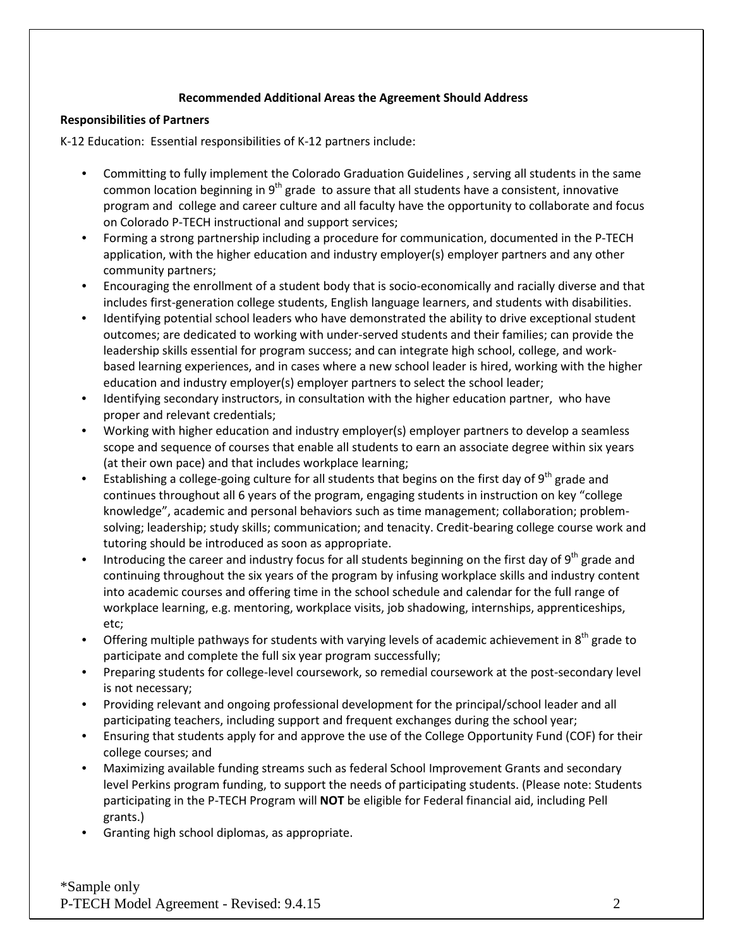## **Recommended Additional Areas the Agreement Should Address**

## **Responsibilities of Partners**

K-12 Education: Essential responsibilities of K-12 partners include:

- Committing to fully implement the Colorado Graduation Guidelines , serving all students in the same common location beginning in  $9<sup>th</sup>$  grade to assure that all students have a consistent, innovative program and college and career culture and all faculty have the opportunity to collaborate and focus on Colorado P-TECH instructional and support services;
- Forming a strong partnership including a procedure for communication, documented in the P-TECH application, with the higher education and industry employer(s) employer partners and any other community partners;
- Encouraging the enrollment of a student body that is socio-economically and racially diverse and that includes first-generation college students, English language learners, and students with disabilities.
- Identifying potential school leaders who have demonstrated the ability to drive exceptional student outcomes; are dedicated to working with under-served students and their families; can provide the leadership skills essential for program success; and can integrate high school, college, and workbased learning experiences, and in cases where a new school leader is hired, working with the higher education and industry employer(s) employer partners to select the school leader;
- Identifying secondary instructors, in consultation with the higher education partner, who have proper and relevant credentials;
- Working with higher education and industry employer(s) employer partners to develop a seamless scope and sequence of courses that enable all students to earn an associate degree within six years (at their own pace) and that includes workplace learning;
- Establishing a college-going culture for all students that begins on the first day of  $9<sup>th</sup>$  grade and continues throughout all 6 years of the program, engaging students in instruction on key "college knowledge", academic and personal behaviors such as time management; collaboration; problemsolving; leadership; study skills; communication; and tenacity. Credit-bearing college course work and tutoring should be introduced as soon as appropriate.
- Introducing the career and industry focus for all students beginning on the first day of 9<sup>th</sup> grade and continuing throughout the six years of the program by infusing workplace skills and industry content into academic courses and offering time in the school schedule and calendar for the full range of workplace learning, e.g. mentoring, workplace visits, job shadowing, internships, apprenticeships, etc;
- Offering multiple pathways for students with varying levels of academic achievement in  $8<sup>th</sup>$  grade to participate and complete the full six year program successfully;
- Preparing students for college-level coursework, so remedial coursework at the post-secondary level is not necessary;
- Providing relevant and ongoing professional development for the principal/school leader and all participating teachers, including support and frequent exchanges during the school year;
- Ensuring that students apply for and approve the use of the College Opportunity Fund (COF) for their college courses; and
- Maximizing available funding streams such as federal School Improvement Grants and secondary level Perkins program funding, to support the needs of participating students. (Please note: Students participating in the P-TECH Program will **NOT** be eligible for Federal financial aid, including Pell grants.)
- Granting high school diplomas, as appropriate.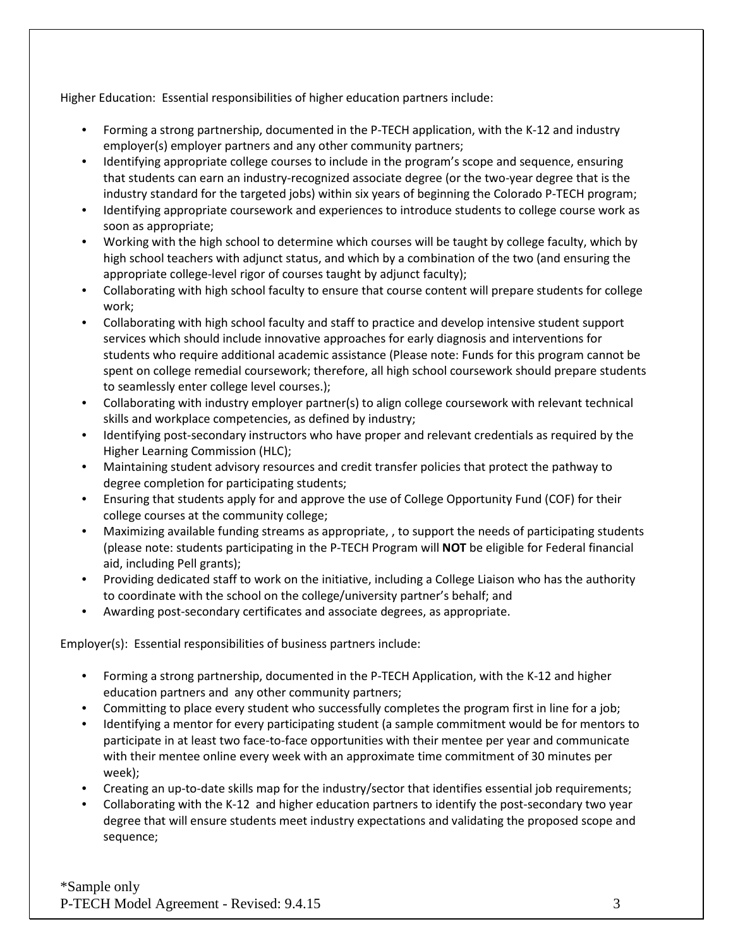Higher Education: Essential responsibilities of higher education partners include:

- Forming a strong partnership, documented in the P-TECH application, with the K-12 and industry employer(s) employer partners and any other community partners;
- Identifying appropriate college courses to include in the program's scope and sequence, ensuring that students can earn an industry-recognized associate degree (or the two-year degree that is the industry standard for the targeted jobs) within six years of beginning the Colorado P-TECH program;
- Identifying appropriate coursework and experiences to introduce students to college course work as soon as appropriate;
- Working with the high school to determine which courses will be taught by college faculty, which by high school teachers with adjunct status, and which by a combination of the two (and ensuring the appropriate college-level rigor of courses taught by adjunct faculty);
- Collaborating with high school faculty to ensure that course content will prepare students for college work;
- Collaborating with high school faculty and staff to practice and develop intensive student support services which should include innovative approaches for early diagnosis and interventions for students who require additional academic assistance (Please note: Funds for this program cannot be spent on college remedial coursework; therefore, all high school coursework should prepare students to seamlessly enter college level courses.);
- Collaborating with industry employer partner(s) to align college coursework with relevant technical skills and workplace competencies, as defined by industry;
- Identifying post-secondary instructors who have proper and relevant credentials as required by the Higher Learning Commission (HLC);
- Maintaining student advisory resources and credit transfer policies that protect the pathway to degree completion for participating students;
- Ensuring that students apply for and approve the use of College Opportunity Fund (COF) for their college courses at the community college;
- Maximizing available funding streams as appropriate, , to support the needs of participating students (please note: students participating in the P-TECH Program will **NOT** be eligible for Federal financial aid, including Pell grants);
- Providing dedicated staff to work on the initiative, including a College Liaison who has the authority to coordinate with the school on the college/university partner's behalf; and
- Awarding post-secondary certificates and associate degrees, as appropriate.

Employer(s): Essential responsibilities of business partners include:

- Forming a strong partnership, documented in the P-TECH Application, with the K-12 and higher education partners and any other community partners;
- Committing to place every student who successfully completes the program first in line for a job;
- Identifying a mentor for every participating student (a sample commitment would be for mentors to participate in at least two face-to-face opportunities with their mentee per year and communicate with their mentee online every week with an approximate time commitment of 30 minutes per week);
- Creating an up-to-date skills map for the industry/sector that identifies essential job requirements;
- Collaborating with the K-12 and higher education partners to identify the post-secondary two year degree that will ensure students meet industry expectations and validating the proposed scope and sequence;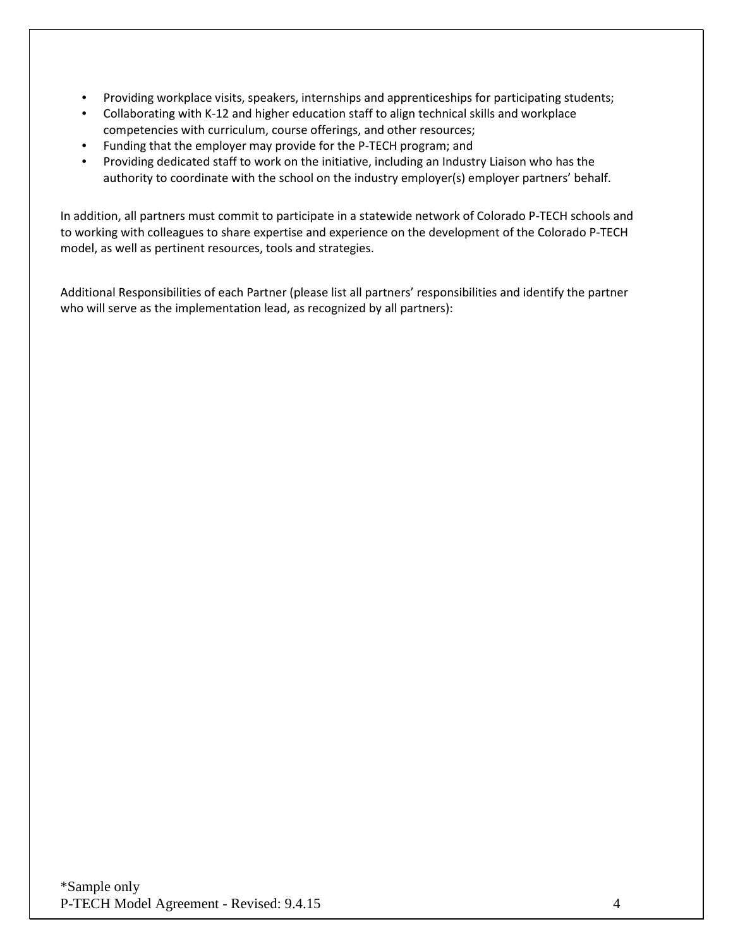- Providing workplace visits, speakers, internships and apprenticeships for participating students;
- Collaborating with K-12 and higher education staff to align technical skills and workplace competencies with curriculum, course offerings, and other resources;
- Funding that the employer may provide for the P-TECH program; and
- Providing dedicated staff to work on the initiative, including an Industry Liaison who has the authority to coordinate with the school on the industry employer(s) employer partners' behalf.

In addition, all partners must commit to participate in a statewide network of Colorado P-TECH schools and to working with colleagues to share expertise and experience on the development of the Colorado P-TECH model, as well as pertinent resources, tools and strategies.

Additional Responsibilities of each Partner (please list all partners' responsibilities and identify the partner who will serve as the implementation lead, as recognized by all partners):